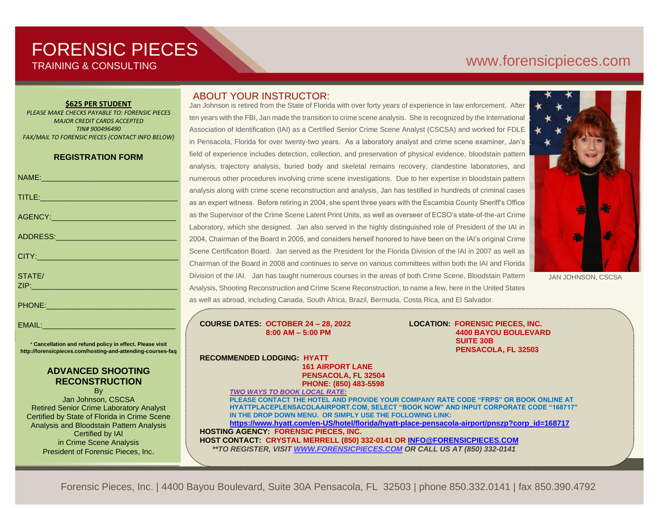# FORENSIC PIECES TRAINING & CONSULTING

# [www.forensicp](http://www.forensic/)ieces.com

#### **\$625 PER STUDENT**

*PLEASE MAKE CHECKS PAYABLE TO: FORENSIC PIECES MAJOR CREDIT CARDS ACCEPTED TIN# 900496490 FAX/MAIL TO FORENSIC PIECES (CONTACT INFO BELOW)*

#### **REGISTRATION FORM**

| NAME: 2008 2010 2021 2022 2023 2024 2022 2023 2024 2022 2023 2024 2022 2023 2024 2022 2023 2024 2025 2026 2027                 |
|--------------------------------------------------------------------------------------------------------------------------------|
| TITLE: And the contract of the contract of the contract of the contract of the contract of the contract of the                 |
|                                                                                                                                |
| ADDRESS: ADDRESS:                                                                                                              |
| CITY: 2008 2010 2010 2010 2011 2012 2012 2013 2014 2015 2016 2017 2018 2019 2019 2017 2018 2019 2019                           |
| STATE/<br><u>ZIP: 2000 - 2000 - 2000 - 2000 - 2000 - 2000 - 2000 - 2000 - 2000 - 2000 - 2000 - 2000 - 2000 - 2000 - 2000 -</u> |
| PHONE: New York PHONE                                                                                                          |

EMAIL:

\* **Cancellation and refund policy in effect. Please visit http://forensicpieces.com/hosting-and-attending-courses-faq**

### **ADVANCED SHOOTING RECONSTRUCTION**

By Jan Johnson, CSCSA Retired Senior Crime Laboratory Analyst Certified by State of Florida in Crime Scene Analysis and Bloodstain Pattern Analysis Certified by IAI in Crime Scene Analysis President of Forensic Pieces, Inc.

## ABOUT YOUR INSTRUCTOR:

Jan Johnson is retired from the State of Florida with over forty years of experience in law enforcement. After ten years with the FBI, Jan made the transition to crime scene analysis. She is recognized by the International Association of Identification (IAI) as a Certified Senior Crime Scene Analyst (CSCSA) and worked for FDLE in Pensacola, Florida for over twenty-two years. As a laboratory analyst and crime scene examiner, Jan's field of experience includes detection, collection, and preservation of physical evidence, bloodstain pattern analysis, trajectory analysis, buried body and skeletal remains recovery, clandestine laboratories, and numerous other procedures involving crime scene investigations. Due to her expertise in bloodstain pattern analysis along with crime scene reconstruction and analysis, Jan has testified in hundreds of criminal cases as an expert witness. Before retiring in 2004, she spent three years with the Escambia County Sheriff's Office as the Supervisor of the Crime Scene Latent Print Units, as well as overseer of ECSO's state-of-the-art Crime Laboratory, which she designed. Jan also served in the highly distinguished role of President of the IAI in 2004, Chairman of the Board in 2005, and considers herself honored to have been on the IAI's original Crime Scene Certification Board. Jan served as the President for the Florida Division of the IAI in 2007 as well as Chairman of the Board in 2008 and continues to serve on various committees within both the IAI and Florida Division of the IAI. Jan has taught numerous courses in the areas of both Crime Scene, Bloodstain Pattern Analysis, Shooting Reconstruction and Crime Scene Reconstruction, to name a few, here in the United States as well as abroad, including Canada, South Africa, Brazil, Bermuda, Costa Rica, and El Salvador.

**COURSE DATES: OCTOBER 24 – 28, 2022 LOCATION: FORENSIC PIECES, INC.**

 **8:00 AM – 5:00 PM 4400 BAYOU BOULEVARD SUITE 30B PENSACOLA, FL 32503**

**RECOMMENDED LODGING: HYATT 161 AIRPORT LANE PENSACOLA, FL 32504 PHONE: (850) 483-5598**

*TWO WAYS TO BOOK LOCAL RATE:* **PLEASE CONTACT THE HOTEL AND PROVIDE YOUR COMPANY RATE CODE "FRPS" OR BOOK ONLINE AT HYATTPLACEPLENSACOLAAIRPORT.COM, SELECT "BOOK NOW" AND INPUT CORPORATE CODE "168717" IN THE DROP DOWN MENU. OR SIMPLY USE THE FOLLOWING LINK: [https://www.hyatt.com/en-US/hotel/florida/hyatt-place-pensacola-airport/pnszp?corp\\_id=168717](https://www.hyatt.com/en-US/hotel/florida/hyatt-place-pensacola-airport/pnszp?corp_id=168717) HOSTING AGENCY: FORENSIC PIECES, INC.**

**HOST CONTACT: CRYSTAL MERRELL (850) 332-0141 OR [INFO@FORENSICPIECES.COM](mailto:INFO@FORENSICPIECES.COM)**  *\*\*TO REGISTER, VISIT [WWW.FORENSICPIECES.COM](http://www.forensicpieces.com/) OR CALL US AT (850) 332-0141*



JAN JOHNSON, CSCSA